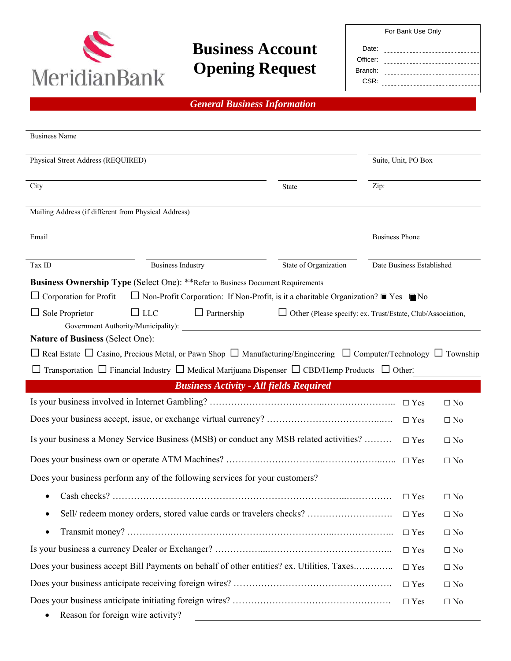

# **Business Account Opening Request**

*General Business Information* 

| For Bank Use Only |  |  |
|-------------------|--|--|
|-------------------|--|--|

| Date:    |  |
|----------|--|
| Officer: |  |
| Branch:  |  |
| CSR:     |  |

| <b>Business Name</b>                                                                                                                       |                                                                                                             |                       |                           |              |
|--------------------------------------------------------------------------------------------------------------------------------------------|-------------------------------------------------------------------------------------------------------------|-----------------------|---------------------------|--------------|
| Physical Street Address (REQUIRED)                                                                                                         |                                                                                                             |                       | Suite, Unit, PO Box       |              |
| City                                                                                                                                       | State                                                                                                       | Zip:                  |                           |              |
| Mailing Address (if different from Physical Address)                                                                                       |                                                                                                             |                       |                           |              |
| Email                                                                                                                                      |                                                                                                             | <b>Business Phone</b> |                           |              |
| Tax ID<br><b>Business Industry</b>                                                                                                         | State of Organization                                                                                       |                       | Date Business Established |              |
| <b>Business Ownership Type (Select One): **Refer to Business Document Requirements</b>                                                     |                                                                                                             |                       |                           |              |
| Corporation for Profit                                                                                                                     | $\Box$ Non-Profit Corporation: If Non-Profit, is it a charitable Organization? $\Box$ Yes $\blacksquare$ No |                       |                           |              |
| $\Box$ Partnership<br>$\Box$ Sole Proprietor<br>$\Box$ LLC<br>Government Authority/Municipality):                                          | $\Box$ Other (Please specify: ex. Trust/Estate, Club/Association,                                           |                       |                           |              |
| <b>Nature of Business (Select One):</b>                                                                                                    |                                                                                                             |                       |                           |              |
| $\Box$ Real Estate $\Box$ Casino, Precious Metal, or Pawn Shop $\Box$ Manufacturing/Engineering $\Box$ Computer/Technology $\Box$ Township |                                                                                                             |                       |                           |              |
| Transportation $\Box$ Financial Industry $\Box$ Medical Marijuana Dispenser $\Box$ CBD/Hemp Products $\Box$ Other:                         |                                                                                                             |                       |                           |              |
|                                                                                                                                            | <b>Business Activity - All fields Required</b>                                                              |                       |                           |              |
|                                                                                                                                            |                                                                                                             |                       |                           | $\Box$ No    |
|                                                                                                                                            |                                                                                                             |                       | $\Box$ Yes                | $\Box$ No    |
| Is your business a Money Service Business (MSB) or conduct any MSB related activities?                                                     |                                                                                                             |                       | $\Box$ Yes                | $\Box$ No    |
|                                                                                                                                            |                                                                                                             |                       | $\Box$ Yes                | $\Box$ No    |
| Does your business perform any of the following services for your customers?                                                               |                                                                                                             |                       |                           |              |
| ٠                                                                                                                                          |                                                                                                             |                       | $\Box$ Yes                | $\Box$ No    |
| Sell/redeem money orders, stored value cards or travelers checks?<br>$\bullet$                                                             |                                                                                                             |                       | $\Box$ Yes                | $\Box$ No    |
| $\bullet$                                                                                                                                  |                                                                                                             |                       | $\Box$ Yes                | $\square$ No |
|                                                                                                                                            |                                                                                                             |                       | $\Box$ Yes                | $\Box$ No    |
| Does your business accept Bill Payments on behalf of other entities? ex. Utilities, Taxes                                                  |                                                                                                             |                       | $\Box$ Yes                | $\Box$ No    |
|                                                                                                                                            |                                                                                                             |                       | $\Box$ Yes                | $\Box$ No    |
| Reason for foreign wire activity?                                                                                                          |                                                                                                             |                       | $\Box$ Yes                | $\Box$ No    |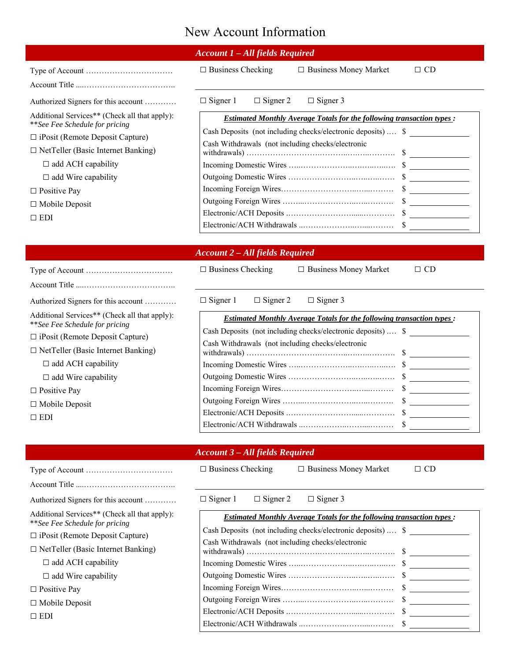# New Account Information

|                                                                                 | <b>Account 1 - All fields Required</b>                                       |
|---------------------------------------------------------------------------------|------------------------------------------------------------------------------|
|                                                                                 | $\Box$ Business Checking<br>$\Box$ Business Money Market<br>$\Box$ CD        |
|                                                                                 |                                                                              |
| Authorized Signers for this account                                             | $\Box$ Signer 2<br>$\Box$ Signer 3<br>$\Box$ Signer 1                        |
| Additional Services** (Check all that apply):                                   | <b>Estimated Monthly Average Totals for the following transaction types:</b> |
| **See Fee Schedule for pricing                                                  | Cash Deposits (not including checks/electronic deposits)  \$                 |
| $\Box$ iPosit (Remote Deposit Capture)                                          | Cash Withdrawals (not including checks/electronic                            |
| $\Box$ NetTeller (Basic Internet Banking)                                       |                                                                              |
| $\Box$ add ACH capability                                                       |                                                                              |
| $\Box$ add Wire capability                                                      |                                                                              |
| $\Box$ Positive Pay                                                             |                                                                              |
| $\Box$ Mobile Deposit                                                           |                                                                              |
| $\Box$ EDI                                                                      |                                                                              |
|                                                                                 |                                                                              |
|                                                                                 |                                                                              |
|                                                                                 | <b>Account 2 - All fields Required</b>                                       |
|                                                                                 | $\Box$ Business Checking<br>□ Business Money Market<br>$\Box$ CD             |
|                                                                                 |                                                                              |
| Authorized Signers for this account                                             | $\Box$ Signer 2<br>$\Box$ Signer 1<br>$\Box$ Signer 3                        |
| Additional Services** (Check all that apply):<br>**See Fee Schedule for pricing | <b>Estimated Monthly Average Totals for the following transaction types:</b> |
| $\Box$ iPosit (Remote Deposit Capture)                                          | Cash Deposits (not including checks/electronic deposits)  \$                 |
| $\Box$ NetTeller (Basic Internet Banking)                                       | Cash Withdrawals (not including checks/electronic                            |
| □ add ACH capability                                                            |                                                                              |
| $\Box$ add Wire capability                                                      |                                                                              |
| $\Box$ Positive Pay                                                             |                                                                              |
|                                                                                 |                                                                              |
| $\Box$ Mobile Deposit                                                           |                                                                              |
| $\Box$ EDI                                                                      |                                                                              |
|                                                                                 |                                                                              |
|                                                                                 | <b>Account 3 - All fields Required</b>                                       |
|                                                                                 | $\Box$ Business Checking<br>$\Box$ CD<br>$\Box$ Business Money Market        |
|                                                                                 |                                                                              |
| Authorized Signers for this account                                             | $\Box$ Signer 1<br>$\Box$ Signer 2<br>$\Box$ Signer 3                        |
| Additional Services** (Check all that apply):                                   | <b>Estimated Monthly Average Totals for the following transaction types:</b> |
| **See Fee Schedule for pricing<br>$\Box$ iPosit (Remote Deposit Capture)        | Cash Deposits (not including checks/electronic deposits)  \$                 |
|                                                                                 | Cash Withdrawals (not including checks/electronic                            |
| $\Box$ NetTeller (Basic Internet Banking)                                       |                                                                              |
| $\Box$ add ACH capability                                                       |                                                                              |
| $\Box$ add Wire capability                                                      |                                                                              |
| $\Box$ Positive Pay                                                             |                                                                              |
| $\Box$ Mobile Deposit                                                           |                                                                              |
| $\Box$ EDI                                                                      |                                                                              |
|                                                                                 |                                                                              |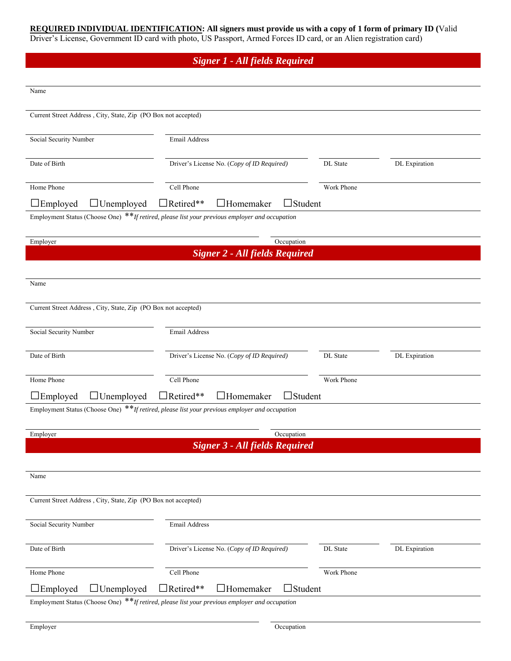### **REQUIRED INDIVIDUAL IDENTIFICATION: All signers must provide us with a copy of 1 form of primary ID (**Valid Driver's License, Government ID card with photo, US Passport, Armed Forces ID card, or an Alien registration card)

### *Signer 1* **-** *All fields Required*

| Name                                                           |                                                                                                |            |               |
|----------------------------------------------------------------|------------------------------------------------------------------------------------------------|------------|---------------|
| Current Street Address, City, State, Zip (PO Box not accepted) |                                                                                                |            |               |
| Social Security Number                                         | Email Address                                                                                  |            |               |
| Date of Birth                                                  | Driver's License No. (Copy of ID Required)                                                     | DL State   | DL Expiration |
| Home Phone                                                     | Cell Phone                                                                                     | Work Phone |               |
| $\Box$ Employed<br>$\Box$ Unemployed                           | $\Box$ Student<br>Retired**<br><b>Homemaker</b>                                                |            |               |
|                                                                | Employment Status (Choose One) **If retired, please list your previous employer and occupation |            |               |
| Employer                                                       | Occupation                                                                                     |            |               |
|                                                                | <b>Signer 2 - All fields Required</b>                                                          |            |               |
|                                                                |                                                                                                |            |               |
| Name                                                           |                                                                                                |            |               |
|                                                                |                                                                                                |            |               |
| Current Street Address, City, State, Zip (PO Box not accepted) |                                                                                                |            |               |
| Social Security Number                                         | Email Address                                                                                  |            |               |
|                                                                |                                                                                                |            |               |
| Date of Birth                                                  | Driver's License No. (Copy of ID Required)                                                     | DL State   | DL Expiration |
| Home Phone                                                     | Cell Phone                                                                                     | Work Phone |               |
| $\square$ Employed<br>$\Box$ Unemployed                        | $\Box$ Student<br>$\exists$ Retired**<br>$\Box$ Homemaker                                      |            |               |
|                                                                | Employment Status (Choose One) **If retired, please list your previous employer and occupation |            |               |
| Employer                                                       | Occupation                                                                                     |            |               |
|                                                                | <b>Signer 3 - All fields Required</b>                                                          |            |               |
|                                                                |                                                                                                |            |               |
| Name                                                           |                                                                                                |            |               |
|                                                                |                                                                                                |            |               |
| Current Street Address, City, State, Zip (PO Box not accepted) |                                                                                                |            |               |
| Social Security Number                                         | Email Address                                                                                  |            |               |
|                                                                |                                                                                                |            |               |
| Date of Birth                                                  | Driver's License No. (Copy of ID Required)                                                     | DL State   | DL Expiration |
| Home Phone                                                     | Cell Phone                                                                                     | Work Phone |               |
| $\Box$ Employed<br>$\Box$ Unemployed                           | Retired**<br>$\Box$ Student<br><b>JHomemaker</b>                                               |            |               |
|                                                                | Employment Status (Choose One) **If retired, please list your previous employer and occupation |            |               |
|                                                                |                                                                                                |            |               |
| Employer                                                       | Occupation                                                                                     |            |               |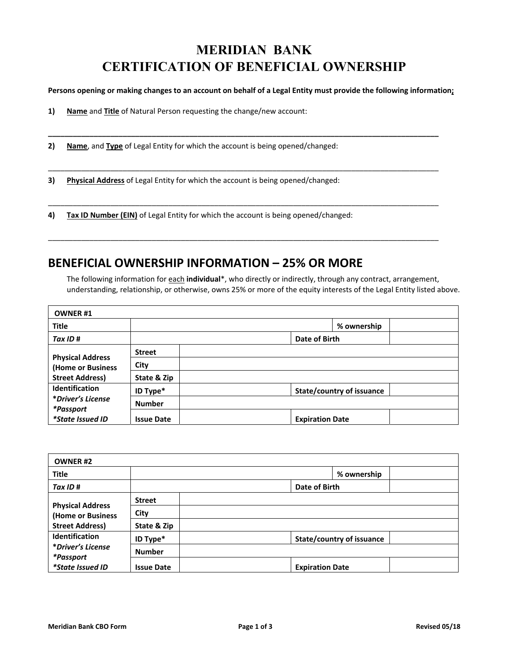## **MERIDIAN BANK CERTIFICATION OF BENEFICIAL OWNERSHIP**

#### **Persons opening or making changes to an account on behalf of a Legal Entity must provide the following information;**

**\_\_\_\_\_\_\_\_\_\_\_\_\_\_\_\_\_\_\_\_\_\_\_\_\_\_\_\_\_\_\_\_\_\_\_\_\_\_\_\_\_\_\_\_\_\_\_\_\_\_\_\_\_\_\_\_\_\_\_\_\_\_\_\_\_\_\_\_\_\_\_\_\_\_\_\_\_\_\_\_\_\_\_\_\_\_\_\_\_\_\_\_\_\_** 

\_\_\_\_\_\_\_\_\_\_\_\_\_\_\_\_\_\_\_\_\_\_\_\_\_\_\_\_\_\_\_\_\_\_\_\_\_\_\_\_\_\_\_\_\_\_\_\_\_\_\_\_\_\_\_\_\_\_\_\_\_\_\_\_\_\_\_\_\_\_\_\_\_\_\_\_\_\_\_\_\_\_\_\_\_\_\_\_\_\_\_\_\_\_

\_\_\_\_\_\_\_\_\_\_\_\_\_\_\_\_\_\_\_\_\_\_\_\_\_\_\_\_\_\_\_\_\_\_\_\_\_\_\_\_\_\_\_\_\_\_\_\_\_\_\_\_\_\_\_\_\_\_\_\_\_\_\_\_\_\_\_\_\_\_\_\_\_\_\_\_\_\_\_\_\_\_\_\_\_\_\_\_\_\_\_\_\_\_

\_\_\_\_\_\_\_\_\_\_\_\_\_\_\_\_\_\_\_\_\_\_\_\_\_\_\_\_\_\_\_\_\_\_\_\_\_\_\_\_\_\_\_\_\_\_\_\_\_\_\_\_\_\_\_\_\_\_\_\_\_\_\_\_\_\_\_\_\_\_\_\_\_\_\_\_\_\_\_\_\_\_\_\_\_\_\_\_\_\_\_\_\_\_

**1) Name** and **Title** of Natural Person requesting the change/new account:

**2) Name**, and **Type** of Legal Entity for which the account is being opened/changed:

**3) Physical Address** of Legal Entity for which the account is being opened/changed:

**4) Tax ID Number (EIN)** of Legal Entity for which the account is being opened/changed:

## **BENEFICIAL OWNERSHIP INFORMATION – 25% OR MORE**

The following information for each **individual**\*, who directly or indirectly, through any contract, arrangement, understanding, relationship, or otherwise, owns 25% or more of the equity interests of the Legal Entity listed above.

| <b>OWNER#1</b>                 |                   |                                  |
|--------------------------------|-------------------|----------------------------------|
| <b>Title</b>                   |                   | % ownership                      |
| Tax ID#                        |                   | Date of Birth                    |
| <b>Physical Address</b>        | <b>Street</b>     |                                  |
| (Home or Business              | City              |                                  |
| <b>Street Address)</b>         | State & Zip       |                                  |
| <b>Identification</b>          | ID Type*          | <b>State/country of issuance</b> |
| *Driver's License<br>*Passport | <b>Number</b>     |                                  |
| <i>*State Issued ID</i>        | <b>Issue Date</b> | <b>Expiration Date</b>           |

| <b>OWNER#2</b>                |                   |                                  |  |
|-------------------------------|-------------------|----------------------------------|--|
| <b>Title</b>                  |                   | % ownership                      |  |
| Tax ID #                      |                   | Date of Birth                    |  |
| <b>Physical Address</b>       | <b>Street</b>     |                                  |  |
| (Home or Business             | City              |                                  |  |
| <b>Street Address)</b>        | State & Zip       |                                  |  |
| Identification                | ID Type*          | <b>State/country of issuance</b> |  |
| *Driver's License             | <b>Number</b>     |                                  |  |
| *Passport<br>*State Issued ID | <b>Issue Date</b> | <b>Expiration Date</b>           |  |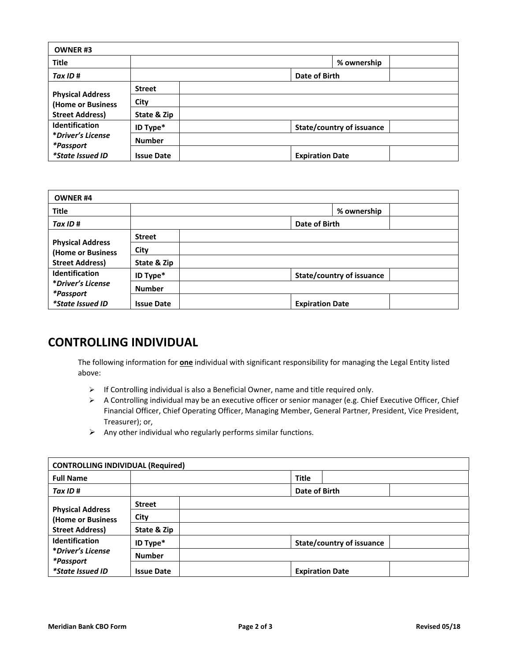| <b>OWNER#3</b>                               |                   |                                  |
|----------------------------------------------|-------------------|----------------------------------|
| <b>Title</b>                                 |                   | % ownership                      |
| Tax ID #                                     |                   | Date of Birth                    |
|                                              | <b>Street</b>     |                                  |
| <b>Physical Address</b><br>(Home or Business | City              |                                  |
| <b>Street Address)</b>                       | State & Zip       |                                  |
| Identification                               | ID Type*          | <b>State/country of issuance</b> |
| *Driver's License                            | <b>Number</b>     |                                  |
| *Passport<br><i>*State Issued ID</i>         | <b>Issue Date</b> | <b>Expiration Date</b>           |

| <b>OWNER #4</b>                |                   |                                  |  |
|--------------------------------|-------------------|----------------------------------|--|
| <b>Title</b>                   |                   | % ownership                      |  |
| Tax ID#                        |                   | Date of Birth                    |  |
| <b>Physical Address</b>        | <b>Street</b>     |                                  |  |
| (Home or Business              | City              |                                  |  |
| <b>Street Address)</b>         | State & Zip       |                                  |  |
| <b>Identification</b>          | ID Type*          | <b>State/country of issuance</b> |  |
| *Driver's License<br>*Passport | <b>Number</b>     |                                  |  |
| *State Issued ID               | <b>Issue Date</b> | <b>Expiration Date</b>           |  |

## **CONTROLLING INDIVIDUAL**

The following information for **one** individual with significant responsibility for managing the Legal Entity listed above:

- $\triangleright$  If Controlling individual is also a Beneficial Owner, name and title required only.
- A Controlling individual may be an executive officer or senior manager (e.g. Chief Executive Officer, Chief Financial Officer, Chief Operating Officer, Managing Member, General Partner, President, Vice President, Treasurer); or,
- $\triangleright$  Any other individual who regularly performs similar functions.

| <b>CONTROLLING INDIVIDUAL (Required)</b> |                   |              |                                  |  |
|------------------------------------------|-------------------|--------------|----------------------------------|--|
| <b>Full Name</b>                         |                   | <b>Title</b> |                                  |  |
| Tax ID#                                  |                   |              | Date of Birth                    |  |
| <b>Physical Address</b>                  | <b>Street</b>     |              |                                  |  |
| (Home or Business                        | City              |              |                                  |  |
| <b>Street Address)</b>                   | State & Zip       |              |                                  |  |
| <b>Identification</b>                    | ID Type*          |              | <b>State/country of issuance</b> |  |
| *Driver's License<br>*Passport           | <b>Number</b>     |              |                                  |  |
| *State Issued ID                         | <b>Issue Date</b> |              | <b>Expiration Date</b>           |  |